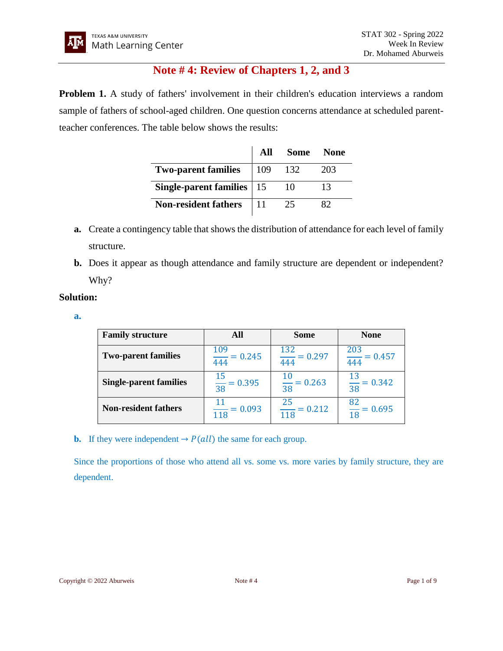# **Note # 4: Review of Chapters 1, 2, and 3**

**Problem 1.** A study of fathers' involvement in their children's education interviews a random sample of fathers of school-aged children. One question concerns attendance at scheduled parentteacher conferences. The table below shows the results:

|                             | All  | <b>Some None</b> |     |
|-----------------------------|------|------------------|-----|
| <b>Two-parent families</b>  | 1109 | -132             | 203 |
| Single-parent families   15 |      | 10               | 13  |
| <b>Non-resident fathers</b> |      |                  |     |

- **a.** Create a contingency table that shows the distribution of attendance for each level of family structure.
- **b.** Does it appear as though attendance and family structure are dependent or independent? Why?

## **Solution:**

**a.**

| <b>Family structure</b>       | All                         | <b>Some</b>               | <b>None</b>               |
|-------------------------------|-----------------------------|---------------------------|---------------------------|
| <b>Two-parent families</b>    | 109<br>$= 0.245$<br>444     | $\frac{132}{444} = 0.297$ | $\frac{203}{444}$ = 0.457 |
| <b>Single-parent families</b> | $= 0.395$<br>$\frac{1}{38}$ | $\frac{10}{38}$ = 0.263   | $\frac{13}{38}$ = 0.342   |
| <b>Non-resident fathers</b>   | $= 0.093$<br>118            | 25<br>$= 0.212$<br>118    | $\frac{82}{18}$ = 0.695   |

**b.** If they were independent  $\rightarrow$   $P(\text{all})$  the same for each group.

Since the proportions of those who attend all vs. some vs. more varies by family structure, they are dependent.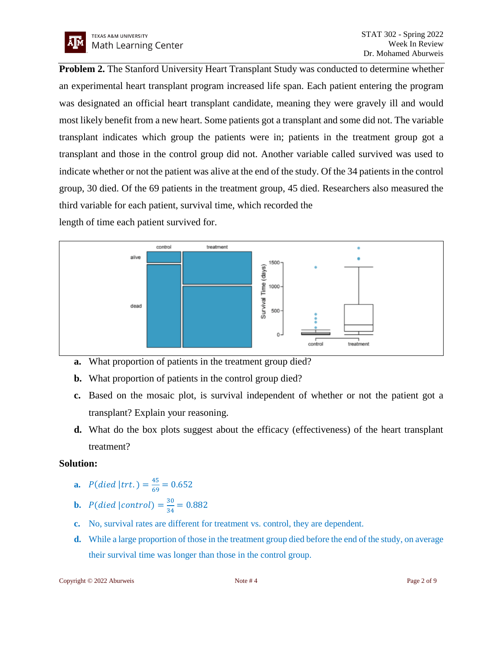**Problem 2.** The Stanford University Heart Transplant Study was conducted to determine whether an experimental heart transplant program increased life span. Each patient entering the program was designated an official heart transplant candidate, meaning they were gravely ill and would most likely benefit from a new heart. Some patients got a transplant and some did not. The variable transplant indicates which group the patients were in; patients in the treatment group got a transplant and those in the control group did not. Another variable called survived was used to indicate whether or not the patient was alive at the end of the study. Of the 34 patients in the control group, 30 died. Of the 69 patients in the treatment group, 45 died. Researchers also measured the third variable for each patient, survival time, which recorded the

length of time each patient survived for.



- **a.** What proportion of patients in the treatment group died?
- **b.** What proportion of patients in the control group died?
- **c.** Based on the mosaic plot, is survival independent of whether or not the patient got a transplant? Explain your reasoning.
- **d.** What do the box plots suggest about the efficacy (effectiveness) of the heart transplant treatment?

### **Solution:**

- **a.**  $P(\text{died } | \text{trt.}) = \frac{45}{69}$  $\frac{45}{69}$  = 0.652
- **b.**  $P(\text{died}|\text{control}) = \frac{30}{34}$  $\frac{30}{34} = 0.882$
- **c.** No, survival rates are different for treatment vs. control, they are dependent.
- **d.** While a large proportion of those in the treatment group died before the end of the study, on average their survival time was longer than those in the control group.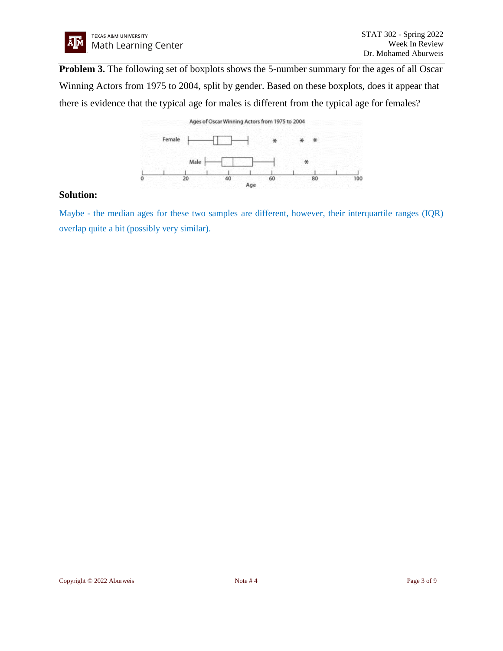

**Problem 3.** The following set of boxplots shows the 5-number summary for the ages of all Oscar Winning Actors from 1975 to 2004, split by gender. Based on these boxplots, does it appear that there is evidence that the typical age for males is different from the typical age for females?

#### Ages of Oscar Winning Actors from 1975 to 2004 Female Male ¥  $\frac{1}{100}$  $\frac{L}{\sigma}$  $40$ 60 Age

#### **Solution:**

Maybe - the median ages for these two samples are different, however, their interquartile ranges (IQR) overlap quite a bit (possibly very similar).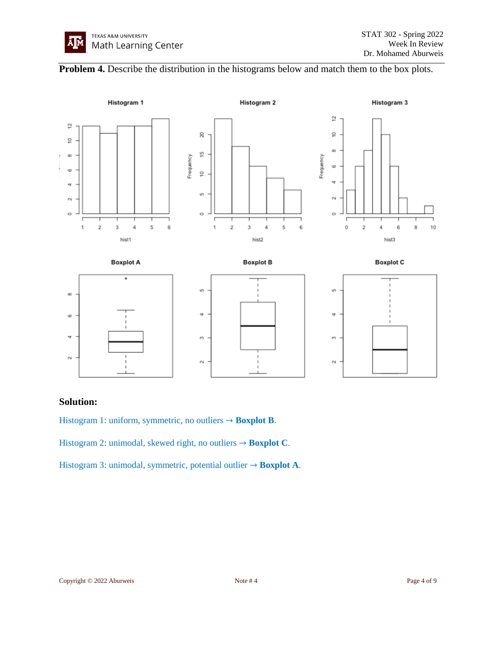



### **Solution:**

Histogram 1: uniform, symmetric, no outliers → **Boxplot B**.

Histogram 2: unimodal, skewed right, no outliers → **Boxplot C**.

Histogram 3: unimodal, symmetric, potential outlier → **Boxplot A**.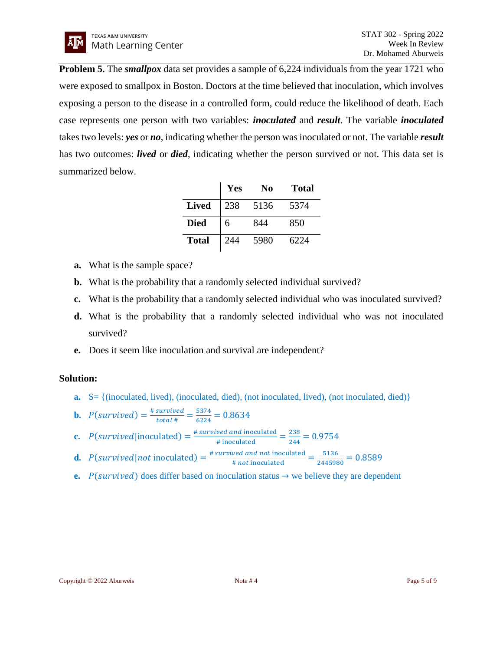**Problem 5.** The *smallpox* data set provides a sample of 6,224 individuals from the year 1721 who were exposed to smallpox in Boston. Doctors at the time believed that inoculation, which involves exposing a person to the disease in a controlled form, could reduce the likelihood of death. Each case represents one person with two variables: *inoculated* and *result*. The variable *inoculated* takes two levels: *yes* or *no*, indicating whether the person was inoculated or not. The variable *result* has two outcomes: *lived* or *died*, indicating whether the person survived or not. This data set is summarized below.

|              | Yes | No   | Total |
|--------------|-----|------|-------|
| <b>Lived</b> | 238 | 5136 | 5374  |
| <b>Died</b>  | 6   | 844  | 850   |
| <b>Total</b> | 244 | 5980 | 6224  |

- **a.** What is the sample space?
- **b.** What is the probability that a randomly selected individual survived?
- **c.** What is the probability that a randomly selected individual who was inoculated survived?
- **d.** What is the probability that a randomly selected individual who was not inoculated survived?
- **e.** Does it seem like inoculation and survival are independent?

# **Solution:**

**a.** S = {(inoculated, lived), (inoculated, died), (not inoculated, lived), (not inoculated, died)}

**b.** 
$$
P(survived) = \frac{\# survived}{total \#} = \frac{5374}{6224} = 0.8634
$$

- **c.**  $P(survived|inoculated) = \frac{\text{\#} survived~and~inoculated}{\text{\#}inoculated} = \frac{238}{244}$  $\frac{258}{244}$  = 0.9754
- **d.**  $P(survived|not \text{ inoculated}) = \frac{\text{\# survived and not inoculated}}{\text{\# not inoculated}} = \frac{5136}{244598}$  $\frac{3130}{2445980} = 0.8589$
- **e.**  $P(survived)$  does differ based on inoculation status  $\rightarrow$  we believe they are dependent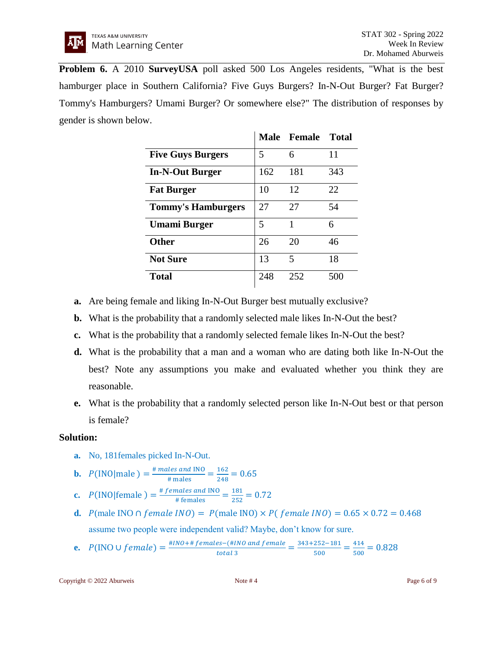**Problem 6.** A 2010 **SurveyUSA** poll asked 500 Los Angeles residents, "What is the best hamburger place in Southern California? Five Guys Burgers? In-N-Out Burger? Fat Burger? Tommy's Hamburgers? Umami Burger? Or somewhere else?" The distribution of responses by gender is shown below.

|                           |     | Male Female | <b>Total</b> |
|---------------------------|-----|-------------|--------------|
| <b>Five Guys Burgers</b>  | 5   | 6           | 11           |
| <b>In-N-Out Burger</b>    | 162 | 181         | 343          |
| <b>Fat Burger</b>         | 10  | 12          | 22           |
| <b>Tommy's Hamburgers</b> | 27  | 27          | 54           |
| Umami Burger              | 5   | 1           | 6            |
| <b>Other</b>              | 26  | 20          | 46           |
| <b>Not Sure</b>           | 13  | 5           | 18           |
| <b>Total</b>              | 248 | 252         | 50C          |

- **a.** Are being female and liking In-N-Out Burger best mutually exclusive?
- **b.** What is the probability that a randomly selected male likes In-N-Out the best?
- **c.** What is the probability that a randomly selected female likes In-N-Out the best?
- **d.** What is the probability that a man and a woman who are dating both like In-N-Out the best? Note any assumptions you make and evaluated whether you think they are reasonable.
- **e.** What is the probability that a randomly selected person like In-N-Out best or that person is female?

### **Solution:**

- **a.** No, 181females picked In-N-Out.
- **b.**  $P(\text{INO} | \text{male}) = \frac{\text{\# males and INO}}{\text{\# males}} = \frac{162}{248}$  $\frac{162}{248} = 0.65$
- **c.**  $P(\text{INO}|\text{female}) = \frac{\text{\# females and INO}}{\text{\# females}} = \frac{181}{252}$  $\frac{181}{252} = 0.72$
- **d.**  $P$ (male INO ∩  $f$ *emale INO*) =  $P$ (male INO) ×  $P$ ( $f$ *emale INO*) = 0.65 × 0.72 = 0.468 assume two people were independent valid? Maybe, don't know for sure.
- **e.**  $P(\text{INO}\cup female) = \frac{\# \text{INO} + \# females (\# \text{INO}\text{ and female})}{\# \text{total} \text{2}}$  $\frac{es-(\#lNO \ and \ female}{total \ 3} = \frac{343+252-181}{500}$  $\frac{252-181}{500} = \frac{414}{500}$  $\frac{414}{500}$  = 0.828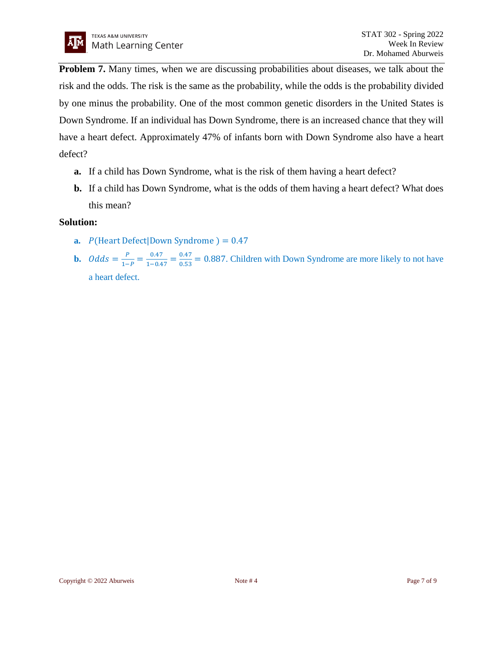**Problem 7.** Many times, when we are discussing probabilities about diseases, we talk about the risk and the odds. The risk is the same as the probability, while the odds is the probability divided by one minus the probability. One of the most common genetic disorders in the United States is Down Syndrome. If an individual has Down Syndrome, there is an increased chance that they will have a heart defect. Approximately 47% of infants born with Down Syndrome also have a heart defect?

- **a.** If a child has Down Syndrome, what is the risk of them having a heart defect?
- **b.** If a child has Down Syndrome, what is the odds of them having a heart defect? What does this mean?

### **Solution:**

- **a.**  $P$ (Heart Defect|Down Syndrome ) = 0.47
- **b.**  $Odds = \frac{P}{1}$  $\frac{P}{1-P} = \frac{0.47}{1-0.4}$  $\frac{0.47}{1-0.47} = \frac{0.47}{0.53}$  $\frac{0.47}{0.53}$  = 0.887. Children with Down Syndrome are more likely to not have a heart defect.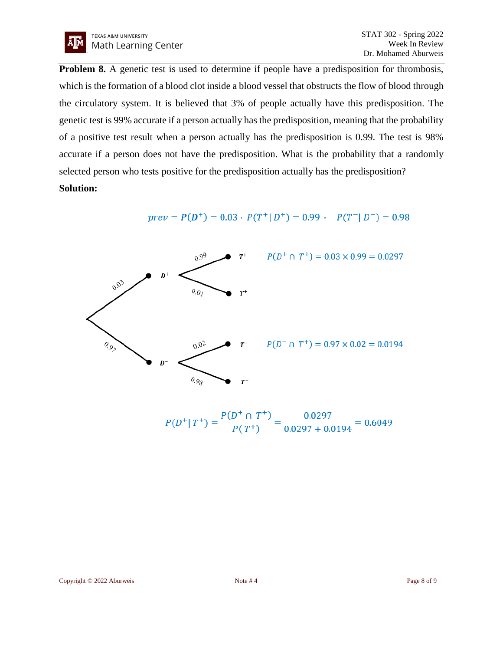

**Problem 8.** A genetic test is used to determine if people have a predisposition for thrombosis, which is the formation of a blood clot inside a blood vessel that obstructs the flow of blood through the circulatory system. It is believed that 3% of people actually have this predisposition. The genetic test is 99% accurate if a person actually has the predisposition, meaning that the probability of a positive test result when a person actually has the predisposition is 0.99. The test is 98% accurate if a person does not have the predisposition. What is the probability that a randomly selected person who tests positive for the predisposition actually has the predisposition? **Solution:**

$$
prev = P(D^{+}) = 0.03 \cdot P(T^{+} | D^{+}) = 0.99 \cdot P(T^{-} | D^{-}) = 0.98
$$



 $P(D^+ | T^+) = \frac{P(D^+ \cap T^+)}{P(T^+)} = \frac{0.0297}{0.0297 + 0.0194} = 0.6049$